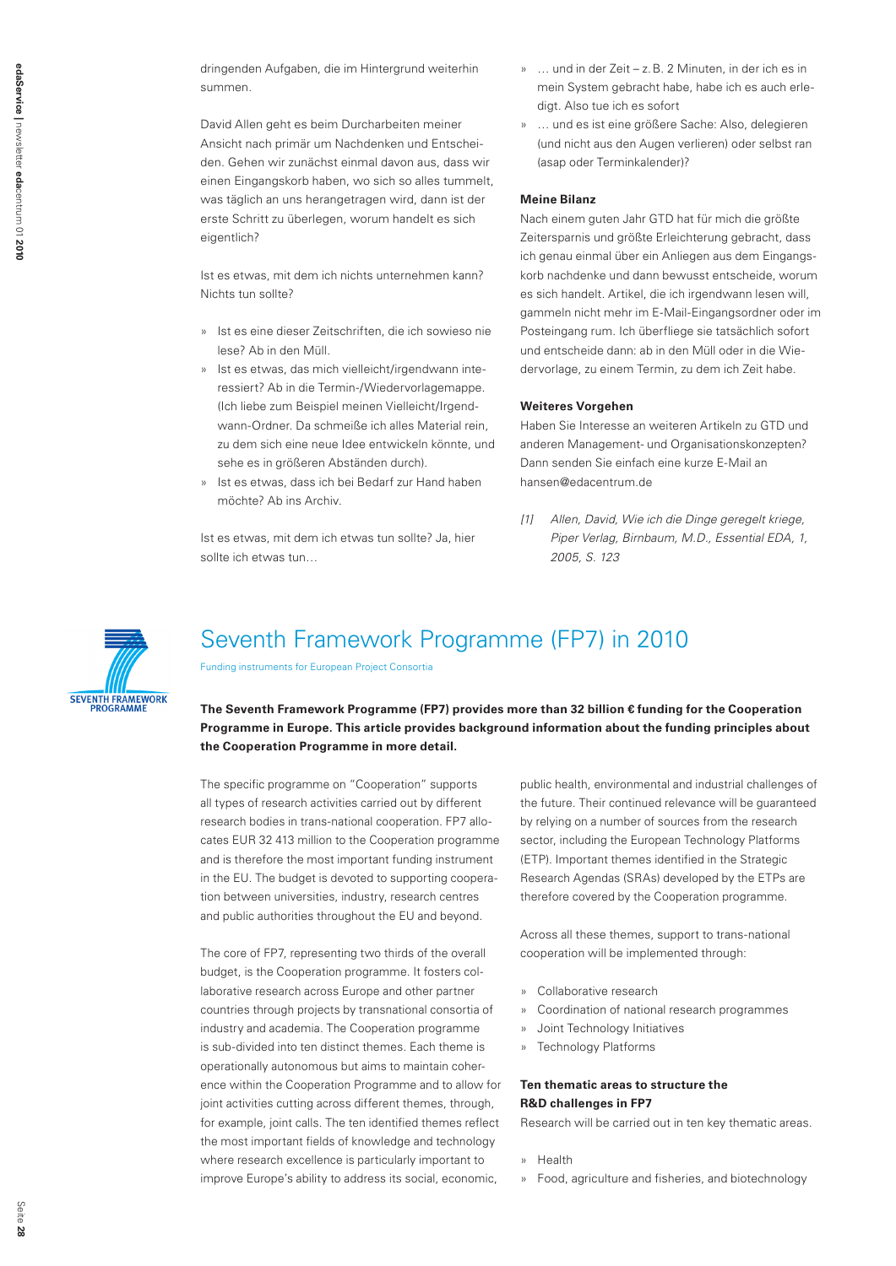dringenden Aufgaben, die im Hintergrund weiterhin summen.

David Allen geht es beim Durcharbeiten meiner Ansicht nach primär um Nachdenken und Entscheiden. Gehen wir zunächst einmal davon aus, dass wir einen Eingangskorb haben, wo sich so alles tummelt, was täglich an uns herangetragen wird, dann ist der erste Schritt zu überlegen, worum handelt es sich eigentlich?

Ist es etwas, mit dem ich nichts unternehmen kann? Nichts tun sollte?

- » Ist es eine dieser Zeitschriften, die ich sowieso nie lese? Ab in den Müll.
- » Ist es etwas, das mich vielleicht/irgendwann interessiert? Ab in die Termin-/Wiedervorlagemappe. (Ich liebe zum Beispiel meinen Vielleicht/Irgendwann-Ordner. Da schmeiße ich alles Material rein, zu dem sich eine neue Idee entwickeln könnte, und sehe es in größeren Abständen durch).
- » Ist es etwas, dass ich bei Bedarf zur Hand haben möchte? Ab ins Archiv.

Ist es etwas, mit dem ich etwas tun sollte? Ja, hier sollte ich etwas tun…

- » … und in der Zeit z.B. 2 Minuten, in der ich es in mein System gebracht habe, habe ich es auch erledigt. Also tue ich es sofort
- » … und es ist eine größere Sache: Also, delegieren (und nicht aus den Augen verlieren) oder selbst ran (asap oder Terminkalender)?

## **Meine Bilanz**

Nach einem guten Jahr GTD hat für mich die größte Zeitersparnis und größte Erleichterung gebracht, dass ich genau einmal über ein Anliegen aus dem Eingangskorb nachdenke und dann bewusst entscheide, worum es sich handelt. Artikel, die ich irgendwann lesen will, gammeln nicht mehr im E-Mail-Eingangsordner oder im Posteingang rum. Ich überfliege sie tatsächlich sofort und entscheide dann: ab in den Müll oder in die Wiedervorlage, zu einem Termin, zu dem ich Zeit habe.

## **Weiteres Vorgehen**

Haben Sie Interesse an weiteren Artikeln zu GTD und anderen Management- und Organisationskonzepten? Dann senden Sie einfach eine kurze E-Mail an hansen@edacentrum.de

[1] Allen, David, Wie ich die Dinge geregelt kriege, Piper Verlag, Birnbaum, M.D., Essential EDA, 1, 2005, S. 123



# Seventh Framework Programme (FP7) in 2010

Funding instruments for European Project Consortia

**The Seventh Framework Programme (FP7) provides more than 32 billion € funding for the Cooperation Programme in Europe. This article provides background information about the funding principles about the Cooperation Programme in more detail.** 

The specific programme on "Cooperation" supports all types of research activities carried out by different research bodies in trans-national cooperation. FP7 allocates EUR 32 413 million to the Cooperation programme and is therefore the most important funding instrument in the EU. The budget is devoted to supporting cooperation between universities, industry, research centres and public authorities throughout the EU and beyond.

The core of FP7, representing two thirds of the overall budget, is the Cooperation programme. It fosters collaborative research across Europe and other partner countries through projects by transnational consortia of industry and academia. The Cooperation programme is sub-divided into ten distinct themes. Each theme is operationally autonomous but aims to maintain coherence within the Cooperation Programme and to allow for joint activities cutting across different themes, through, for example, joint calls. The ten identified themes reflect the most important fields of knowledge and technology where research excellence is particularly important to improve Europe's ability to address its social, economic,

public health, environmental and industrial challenges of the future. Their continued relevance will be guaranteed by relying on a number of sources from the research sector, including the European Technology Platforms (ETP). Important themes identified in the Strategic Research Agendas (SRAs) developed by the ETPs are therefore covered by the Cooperation programme.

Across all these themes, support to trans-national cooperation will be implemented through:

- » Collaborative research
- » Coordination of national research programmes
- » Joint Technology Initiatives
- » Technology Platforms

## **Ten thematic areas to structure the R&D challenges in FP7**

Research will be carried out in ten key thematic areas.

- » Health
- » Food, agriculture and fisheries, and biotechnology